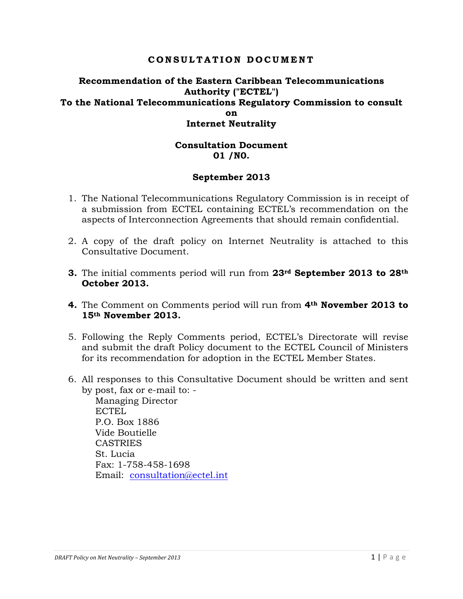### **CONSULTATION DOCUMENT**

### **Recommendation of the Eastern Caribbean Telecommunications Authority ("ECTEL") To the National Telecommunications Regulatory Commission to consult on Internet Neutrality**

#### **Consultation Document 01 /N0.**

#### **September 2013**

- 1. The National Telecommunications Regulatory Commission is in receipt of a submission from ECTEL containing ECTEL's recommendation on the aspects of Interconnection Agreements that should remain confidential.
- 2. A copy of the draft policy on Internet Neutrality is attached to this Consultative Document.
- **3.** The initial comments period will run from **23rd September 2013 to 28th October 2013.**
- **4.** The Comment on Comments period will run from **4th November 2013 to 15th November 2013.**
- 5. Following the Reply Comments period, ECTEL's Directorate will revise and submit the draft Policy document to the ECTEL Council of Ministers for its recommendation for adoption in the ECTEL Member States.
- 6. All responses to this Consultative Document should be written and sent by post, fax or e-mail to: -

Managing Director ECTEL P.O. Box 1886 Vide Boutielle **CASTRIES** St. Lucia Fax: 1-758-458-1698 Email: consultation@ectel.int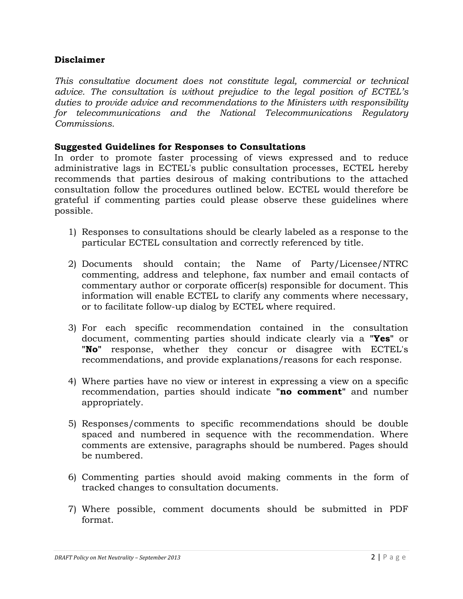### **Disclaimer**

*This consultative document does not constitute legal, commercial or technical advice. The consultation is without prejudice to the legal position of ECTEL's duties to provide advice and recommendations to the Ministers with responsibility for telecommunications and the National Telecommunications Regulatory Commissions.*

### **Suggested Guidelines for Responses to Consultations**

In order to promote faster processing of views expressed and to reduce administrative lags in ECTEL's public consultation processes, ECTEL hereby recommends that parties desirous of making contributions to the attached consultation follow the procedures outlined below. ECTEL would therefore be grateful if commenting parties could please observe these guidelines where possible.

- 1) Responses to consultations should be clearly labeled as a response to the particular ECTEL consultation and correctly referenced by title.
- 2) Documents should contain; the Name of Party/Licensee/NTRC commenting, address and telephone, fax number and email contacts of commentary author or corporate officer(s) responsible for document. This information will enable ECTEL to clarify any comments where necessary, or to facilitate follow-up dialog by ECTEL where required.
- 3) For each specific recommendation contained in the consultation document, commenting parties should indicate clearly via a **"Yes"** or **"No"** response, whether they concur or disagree with ECTEL's recommendations, and provide explanations/reasons for each response.
- 4) Where parties have no view or interest in expressing a view on a specific recommendation, parties should indicate **"no comment"** and number appropriately.
- 5) Responses/comments to specific recommendations should be double spaced and numbered in sequence with the recommendation. Where comments are extensive, paragraphs should be numbered. Pages should be numbered.
- 6) Commenting parties should avoid making comments in the form of tracked changes to consultation documents.
- 7) Where possible, comment documents should be submitted in PDF format.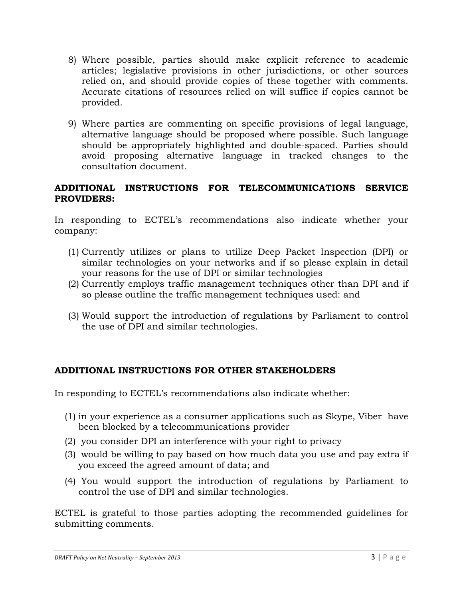- 8) Where possible, parties should make explicit reference to academic articles; legislative provisions in other jurisdictions, or other sources relied on, and should provide copies of these together with comments. Accurate citations of resources relied on will suffice if copies cannot be provided.
- 9) Where parties are commenting on specific provisions of legal language, alternative language should be proposed where possible. Such language should be appropriately highlighted and double-spaced. Parties should avoid proposing alternative language in tracked changes to the consultation document.

### **ADDITIONAL INSTRUCTIONS FOR TELECOMMUNICATIONS SERVICE PROVIDERS:**

In responding to ECTEL's recommendations also indicate whether your company:

- (1) Currently utilizes or plans to utilize Deep Packet Inspection (DPI) or similar technologies on your networks and if so please explain in detail your reasons for the use of DPI or similar technologies
- (2) Currently employs traffic management techniques other than DPI and if so please outline the traffic management techniques used: and
- (3) Would support the introduction of regulations by Parliament to control the use of DPI and similar technologies.

### **ADDITIONAL INSTRUCTIONS FOR OTHER STAKEHOLDERS**

In responding to ECTEL's recommendations also indicate whether:

- (1) in your experience as a consumer applications such as Skype, Viber have been blocked by a telecommunications provider
- (2) you consider DPI an interference with your right to privacy
- (3) would be willing to pay based on how much data you use and pay extra if you exceed the agreed amount of data; and
- (4) You would support the introduction of regulations by Parliament to control the use of DPI and similar technologies.

ECTEL is grateful to those parties adopting the recommended guidelines for submitting comments.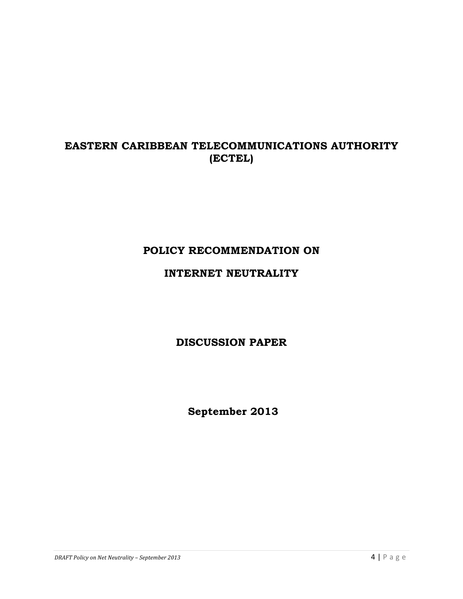# **EASTERN CARIBBEAN TELECOMMUNICATIONS AUTHORITY (ECTEL)**

# **POLICY RECOMMENDATION ON**

## **INTERNET NEUTRALITY**

**DISCUSSION PAPER**

**September 2013**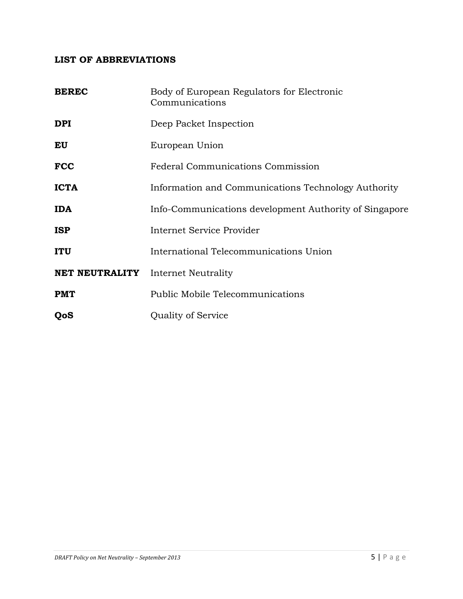## **LIST OF ABBREVIATIONS**

| <b>BEREC</b>   | Body of European Regulators for Electronic<br>Communications |
|----------------|--------------------------------------------------------------|
| <b>DPI</b>     | Deep Packet Inspection                                       |
| EU             | European Union                                               |
| <b>FCC</b>     | <b>Federal Communications Commission</b>                     |
| <b>ICTA</b>    | Information and Communications Technology Authority          |
| <b>IDA</b>     | Info-Communications development Authority of Singapore       |
| <b>ISP</b>     | Internet Service Provider                                    |
| <b>ITU</b>     | International Telecommunications Union                       |
| NET NEUTRALITY | Internet Neutrality                                          |
| <b>PMT</b>     | <b>Public Mobile Telecommunications</b>                      |
| QoS            | Quality of Service                                           |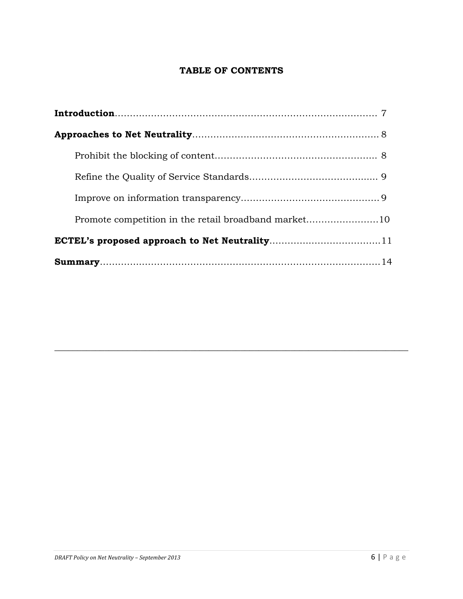## **TABLE OF CONTENTS**

| Promote competition in the retail broadband market10 |  |
|------------------------------------------------------|--|
|                                                      |  |
|                                                      |  |

**\_\_\_\_\_\_\_\_\_\_\_\_\_\_\_\_\_\_\_\_\_\_\_\_\_\_\_\_\_\_\_\_\_\_\_\_\_\_\_\_\_\_\_\_\_\_\_\_\_\_\_\_\_\_\_\_\_\_\_\_\_\_\_\_\_\_\_\_\_\_\_\_\_\_\_\_\_\_**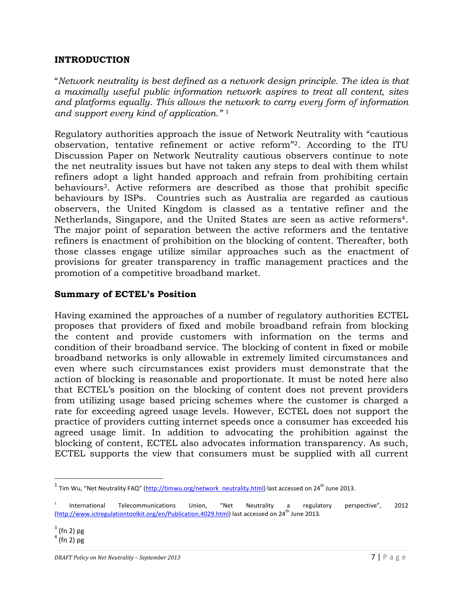### **INTRODUCTION**

"*Network neutrality is best defined as a network design principle. The idea is that a maximally useful public information network aspires to treat all content, sites and platforms equally. This allows the network to carry every form of information and support every kind of application."* <sup>1</sup>

Regulatory authorities approach the issue of Network Neutrality with "cautious observation, tentative refinement or active reform"2. According to the ITU Discussion Paper on Network Neutrality cautious observers continue to note the net neutrality issues but have not taken any steps to deal with them whilst refiners adopt a light handed approach and refrain from prohibiting certain behaviours3. Active reformers are described as those that prohibit specific behaviours by ISPs. Countries such as Australia are regarded as cautious observers, the United Kingdom is classed as a tentative refiner and the Netherlands, Singapore, and the United States are seen as active reformers4. The major point of separation between the active reformers and the tentative refiners is enactment of prohibition on the blocking of content. Thereafter, both those classes engage utilize similar approaches such as the enactment of provisions for greater transparency in traffic management practices and the promotion of a competitive broadband market.

#### **Summary of ECTEL's Position**

Having examined the approaches of a number of regulatory authorities ECTEL proposes that providers of fixed and mobile broadband refrain from blocking the content and provide customers with information on the terms and condition of their broadband service. The blocking of content in fixed or mobile broadband networks is only allowable in extremely limited circumstances and even where such circumstances exist providers must demonstrate that the action of blocking is reasonable and proportionate. It must be noted here also that ECTEL's position on the blocking of content does not prevent providers from utilizing usage based pricing schemes where the customer is charged a rate for exceeding agreed usage levels. However, ECTEL does not support the practice of providers cutting internet speeds once a consumer has exceeded his agreed usage limit. In addition to advocating the prohibition against the blocking of content, ECTEL also advocates information transparency. As such, ECTEL supports the view that consumers must be supplied with all current

<u> 1989 - Johann Stein, fransk politik (d. 1989)</u>

<sup>&</sup>lt;sup>1</sup> Tim Wu, "Net Neutrality FAQ" (http://timwu.org/network\_neutrality.html) last accessed on 24<sup>th</sup> June 2013.

International Telecommunications Union, "Net Neutrality a regulatory perspective", 2012 (http://www.ictregulationtoolkit.org/en/Publication.4029.html) last accessed on 24<sup>th</sup> June 2013.

 $3$  (fn 2) pg

 $4$  (fn 2) pg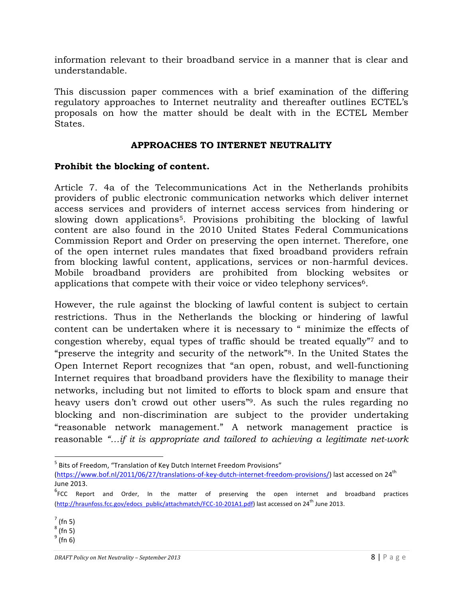information relevant to their broadband service in a manner that is clear and understandable.

This discussion paper commences with a brief examination of the differing regulatory approaches to Internet neutrality and thereafter outlines ECTEL's proposals on how the matter should be dealt with in the ECTEL Member States.

### **APPROACHES TO INTERNET NEUTRALITY**

### **Prohibit the blocking of content.**

Article 7. 4a of the Telecommunications Act in the Netherlands prohibits providers of public electronic communication networks which deliver internet access services and providers of internet access services from hindering or slowing down applications<sup>5</sup>. Provisions prohibiting the blocking of lawful content are also found in the 2010 United States Federal Communications Commission Report and Order on preserving the open internet. Therefore, one of the open internet rules mandates that fixed broadband providers refrain from blocking lawful content, applications, services or non-harmful devices. Mobile broadband providers are prohibited from blocking websites or applications that compete with their voice or video telephony services<sup>6</sup>.

However, the rule against the blocking of lawful content is subject to certain restrictions. Thus in the Netherlands the blocking or hindering of lawful content can be undertaken where it is necessary to " minimize the effects of congestion whereby, equal types of traffic should be treated equally"7 and to "preserve the integrity and security of the network"8. In the United States the Open Internet Report recognizes that "an open, robust, and well-functioning Internet requires that broadband providers have the flexibility to manage their networks, including but not limited to efforts to block spam and ensure that heavy users don't crowd out other users"9. As such the rules regarding no blocking and non-discrimination are subject to the provider undertaking "reasonable network management." A network management practice is reasonable *"…if it is appropriate and tailored to achieving a legitimate net-work* 

<sup>&</sup>lt;u> 1989 - Johann Stein, fransk politik (d. 1989)</u>  $<sup>5</sup>$  Bits of Freedom, "Translation of Key Dutch Internet Freedom Provisions"</sup>

<sup>(</sup>https://www.bof.nl/2011/06/27/translations-of-key-dutch-internet-freedom-provisions/) last accessed on 24<sup>th</sup> June 2013.

<sup>&</sup>lt;sup>6</sup>FCC Report and Order, In the matter of preserving the open internet and broadband practices (http://hraunfoss.fcc.gov/edocs\_public/attachmatch/FCC-10-201A1.pdf) last accessed on 24<sup>th</sup> June 2013.

 $<sup>7</sup>$  (fn 5)</sup>

 $^8$  (fn 5)

 $^9$  (fn 6)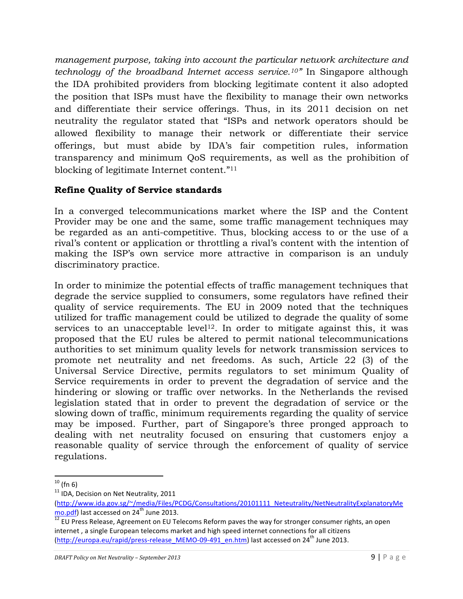*management purpose, taking into account the particular network architecture and technology of the broadband Internet access service.10"* In Singapore although the IDA prohibited providers from blocking legitimate content it also adopted the position that ISPs must have the flexibility to manage their own networks and differentiate their service offerings. Thus, in its 2011 decision on net neutrality the regulator stated that "ISPs and network operators should be allowed flexibility to manage their network or differentiate their service offerings, but must abide by IDA's fair competition rules, information transparency and minimum QoS requirements, as well as the prohibition of blocking of legitimate Internet content."11

## **Refine Quality of Service standards**

In a converged telecommunications market where the ISP and the Content Provider may be one and the same, some traffic management techniques may be regarded as an anti-competitive. Thus, blocking access to or the use of a rival's content or application or throttling a rival's content with the intention of making the ISP's own service more attractive in comparison is an unduly discriminatory practice.

In order to minimize the potential effects of traffic management techniques that degrade the service supplied to consumers, some regulators have refined their quality of service requirements. The EU in 2009 noted that the techniques utilized for traffic management could be utilized to degrade the quality of some services to an unacceptable level<sup>12</sup>. In order to mitigate against this, it was proposed that the EU rules be altered to permit national telecommunications authorities to set minimum quality levels for network transmission services to promote net neutrality and net freedoms. As such, Article 22 (3) of the Universal Service Directive, permits regulators to set minimum Quality of Service requirements in order to prevent the degradation of service and the hindering or slowing or traffic over networks. In the Netherlands the revised legislation stated that in order to prevent the degradation of service or the slowing down of traffic, minimum requirements regarding the quality of service may be imposed. Further, part of Singapore's three pronged approach to dealing with net neutrality focused on ensuring that customers enjoy a reasonable quality of service through the enforcement of quality of service regulations.

<sup>&</sup>lt;u> 1989 - Johann Stein, fransk politik (d. 1989)</u>  $10$  (fn 6)

 $11$  IDA, Decision on Net Neutrality, 2011

<sup>(</sup>http://www.ida.gov.sg/~/media/Files/PCDG/Consultations/20101111\_Neteutrality/NetNeutralityExplanatoryMe<br>mo.pdf) last accessed on 24<sup>th</sup> June 2013.

 $\overline{12}$  EU Press Release, Agreement on EU Telecoms Reform paves the way for stronger consumer rights, an open internet, a single European telecoms market and high speed internet connections for all citizens (http://europa.eu/rapid/press-release\_MEMO-09-491\_en.htm) last accessed on  $24^{\text{th}}$  June 2013.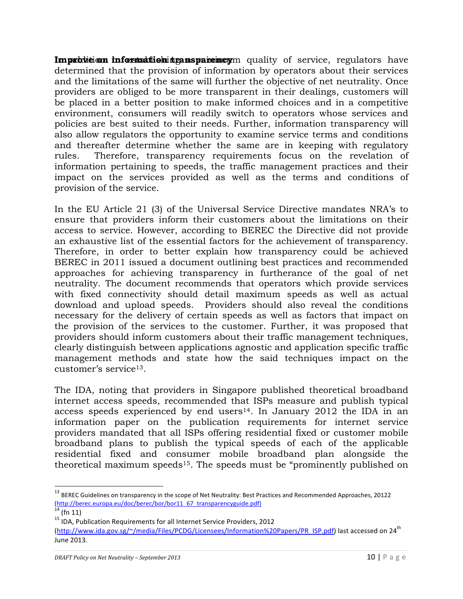**Improvision information transparemetic quality of service, regulators have** determined that the provision of information by operators about their services and the limitations of the same will further the objective of net neutrality. Once providers are obliged to be more transparent in their dealings, customers will be placed in a better position to make informed choices and in a competitive environment, consumers will readily switch to operators whose services and policies are best suited to their needs. Further, information transparency will also allow regulators the opportunity to examine service terms and conditions and thereafter determine whether the same are in keeping with regulatory rules. Therefore, transparency requirements focus on the revelation of information pertaining to speeds, the traffic management practices and their impact on the services provided as well as the terms and conditions of provision of the service.

In the EU Article 21 (3) of the Universal Service Directive mandates NRA's to ensure that providers inform their customers about the limitations on their access to service. However, according to BEREC the Directive did not provide an exhaustive list of the essential factors for the achievement of transparency. Therefore, in order to better explain how transparency could be achieved BEREC in 2011 issued a document outlining best practices and recommended approaches for achieving transparency in furtherance of the goal of net neutrality. The document recommends that operators which provide services with fixed connectivity should detail maximum speeds as well as actual download and upload speeds. Providers should also reveal the conditions necessary for the delivery of certain speeds as well as factors that impact on the provision of the services to the customer. Further, it was proposed that providers should inform customers about their traffic management techniques, clearly distinguish between applications agnostic and application specific traffic management methods and state how the said techniques impact on the customer's service13.

The IDA, noting that providers in Singapore published theoretical broadband internet access speeds, recommended that ISPs measure and publish typical access speeds experienced by end users<sup>14</sup>. In January 2012 the IDA in an information paper on the publication requirements for internet service providers mandated that all ISPs offering residential fixed or customer mobile broadband plans to publish the typical speeds of each of the applicable residential fixed and consumer mobile broadband plan alongside the theoretical maximum speeds15. The speeds must be "prominently published on

<u> 1989 - Johann Stein, fransk politik (d. 1989)</u>

 $^{13}$  BEREC Guidelines on transparency in the scope of Net Neutrality: Best Practices and Recommended Approaches, 20122 (http://berec.europa.eu/doc/berec/bor/bor11\_67\_transparencyguide.pdf)<br><sup>14</sup> (fn 11)<br><sup>15</sup> IDA, Publication Requirements for all Internet Service Providers, 2012

<sup>(</sup>http://www.ida.gov.sg/~/media/Files/PCDG/Licensees/Information%20Papers/PR\_ISP.pdf) last accessed on 24<sup>th</sup> June 2013.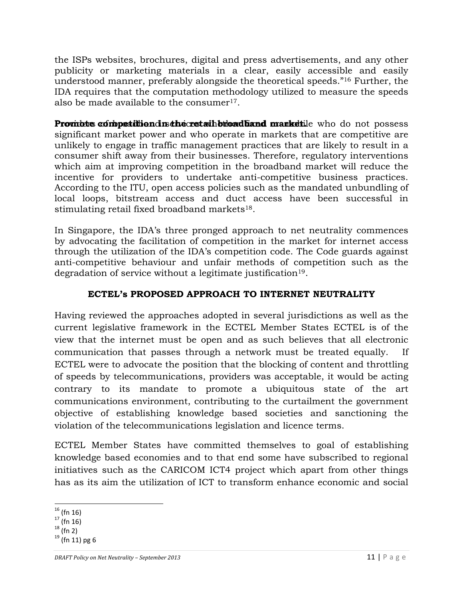the ISPs websites, brochures, digital and press advertisements, and any other publicity or marketing materials in a clear, easily accessible and easily understood manner, preferably alongside the theoretical speeds."16 Further, the IDA requires that the computation methodology utilized to measure the speeds also be made available to the consumer $17$ .

**Prombte competition in the retail broad liand market.** Who do not possess significant market power and who operate in markets that are competitive are unlikely to engage in traffic management practices that are likely to result in a consumer shift away from their businesses. Therefore, regulatory interventions which aim at improving competition in the broadband market will reduce the incentive for providers to undertake anti-competitive business practices. According to the ITU, open access policies such as the mandated unbundling of local loops, bitstream access and duct access have been successful in stimulating retail fixed broadband markets18.

In Singapore, the IDA's three pronged approach to net neutrality commences by advocating the facilitation of competition in the market for internet access through the utilization of the IDA's competition code. The Code guards against anti-competitive behaviour and unfair methods of competition such as the degradation of service without a legitimate justification<sup>19</sup>.

## **ECTEL's PROPOSED APPROACH TO INTERNET NEUTRALITY**

Having reviewed the approaches adopted in several jurisdictions as well as the current legislative framework in the ECTEL Member States ECTEL is of the view that the internet must be open and as such believes that all electronic communication that passes through a network must be treated equally. If ECTEL were to advocate the position that the blocking of content and throttling of speeds by telecommunications, providers was acceptable, it would be acting contrary to its mandate to promote a ubiquitous state of the art communications environment, contributing to the curtailment the government objective of establishing knowledge based societies and sanctioning the violation of the telecommunications legislation and licence terms.

ECTEL Member States have committed themselves to goal of establishing knowledge based economies and to that end some have subscribed to regional initiatives such as the CARICOM ICT4 project which apart from other things has as its aim the utilization of ICT to transform enhance economic and social

<sup>&</sup>lt;u> 1989 - Johann Stein, fransk politik (d. 1989)</u>  $16$  (fn 16)

 $17$  (fn 16)

 $18$  (fn 2)

 $19$  (fn 11) pg 6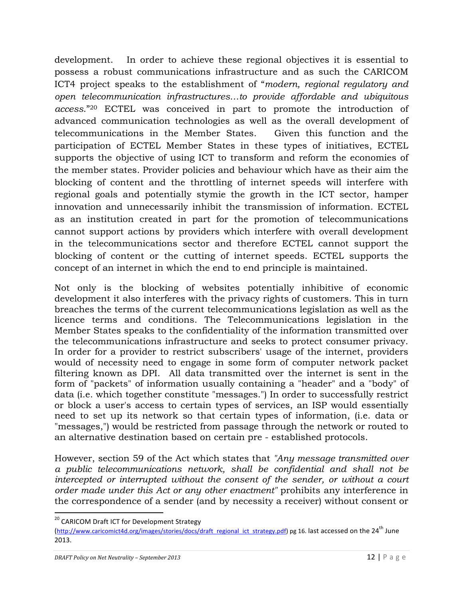development. In order to achieve these regional objectives it is essential to possess a robust communications infrastructure and as such the CARICOM ICT4 project speaks to the establishment of "*modern, regional regulatory and open telecommunication infrastructures…to provide affordable and ubiquitous access*."20 ECTEL was conceived in part to promote the introduction of advanced communication technologies as well as the overall development of telecommunications in the Member States. Given this function and the participation of ECTEL Member States in these types of initiatives, ECTEL supports the objective of using ICT to transform and reform the economies of the member states. Provider policies and behaviour which have as their aim the blocking of content and the throttling of internet speeds will interfere with regional goals and potentially stymie the growth in the ICT sector, hamper innovation and unnecessarily inhibit the transmission of information. ECTEL as an institution created in part for the promotion of telecommunications cannot support actions by providers which interfere with overall development in the telecommunications sector and therefore ECTEL cannot support the blocking of content or the cutting of internet speeds. ECTEL supports the concept of an internet in which the end to end principle is maintained.

Not only is the blocking of websites potentially inhibitive of economic development it also interferes with the privacy rights of customers. This in turn breaches the terms of the current telecommunications legislation as well as the licence terms and conditions. The Telecommunications legislation in the Member States speaks to the confidentiality of the information transmitted over the telecommunications infrastructure and seeks to protect consumer privacy. In order for a provider to restrict subscribers' usage of the internet, providers would of necessity need to engage in some form of computer network packet filtering known as DPI. All data transmitted over the internet is sent in the form of "packets" of information usually containing a "header" and a "body" of data (i.e. which together constitute "messages.") In order to successfully restrict or block a user's access to certain types of services, an ISP would essentially need to set up its network so that certain types of information, (i.e. data or "messages,") would be restricted from passage through the network or routed to an alternative destination based on certain pre - established protocols.

However, section 59 of the Act which states that *"Any message transmitted over a public telecommunications network, shall be confidential and shall not be intercepted or interrupted without the consent of the sender, or without a court order made under this Act or any other enactment"* prohibits any interference in the correspondence of a sender (and by necessity a receiver) without consent or

<u> 1989 - Johann Stein, fransk politik (d. 1989)</u>

<sup>&</sup>lt;sup>20</sup> CARICOM Draft ICT for Development Strategy

<sup>(</sup>http://www.caricomict4d.org/images/stories/docs/draft\_regional\_ict\_strategy.pdf) pg 16. last accessed on the 24<sup>th</sup> June 2013.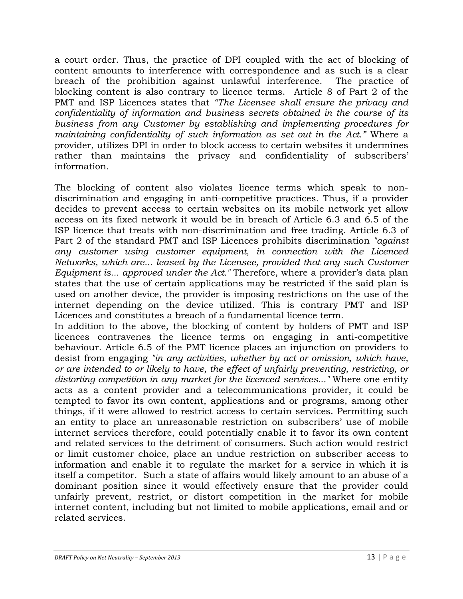a court order. Thus, the practice of DPI coupled with the act of blocking of content amounts to interference with correspondence and as such is a clear breach of the prohibition against unlawful interference. The practice of blocking content is also contrary to licence terms. Article 8 of Part 2 of the PMT and ISP Licences states that *"The Licensee shall ensure the privacy and confidentiality of information and business secrets obtained in the course of its business from any Customer by establishing and implementing procedures for maintaining confidentiality of such information as set out in the Act."* Where a provider, utilizes DPI in order to block access to certain websites it undermines rather than maintains the privacy and confidentiality of subscribers' information.

The blocking of content also violates licence terms which speak to nondiscrimination and engaging in anti-competitive practices. Thus, if a provider decides to prevent access to certain websites on its mobile network yet allow access on its fixed network it would be in breach of Article 6.3 and 6.5 of the ISP licence that treats with non-discrimination and free trading. Article 6.3 of Part 2 of the standard PMT and ISP Licences prohibits discrimination *"against any customer using customer equipment, in connection with the Licenced Networks, which are... leased by the Licensee, provided that any such Customer Equipment is... approved under the Act."* Therefore, where a provider's data plan states that the use of certain applications may be restricted if the said plan is used on another device, the provider is imposing restrictions on the use of the internet depending on the device utilized. This is contrary PMT and ISP Licences and constitutes a breach of a fundamental licence term.

In addition to the above, the blocking of content by holders of PMT and ISP licences contravenes the licence terms on engaging in anti-competitive behaviour. Article 6.5 of the PMT licence places an injunction on providers to desist from engaging *"in any activities, whether by act or omission, which have, or are intended to or likely to have, the effect of unfairly preventing, restricting, or distorting competition in any market for the licenced services..."* Where one entity acts as a content provider and a telecommunications provider, it could be tempted to favor its own content, applications and or programs, among other things, if it were allowed to restrict access to certain services. Permitting such an entity to place an unreasonable restriction on subscribers' use of mobile internet services therefore, could potentially enable it to favor its own content and related services to the detriment of consumers. Such action would restrict or limit customer choice, place an undue restriction on subscriber access to information and enable it to regulate the market for a service in which it is itself a competitor. Such a state of affairs would likely amount to an abuse of a dominant position since it would effectively ensure that the provider could unfairly prevent, restrict, or distort competition in the market for mobile internet content, including but not limited to mobile applications, email and or related services.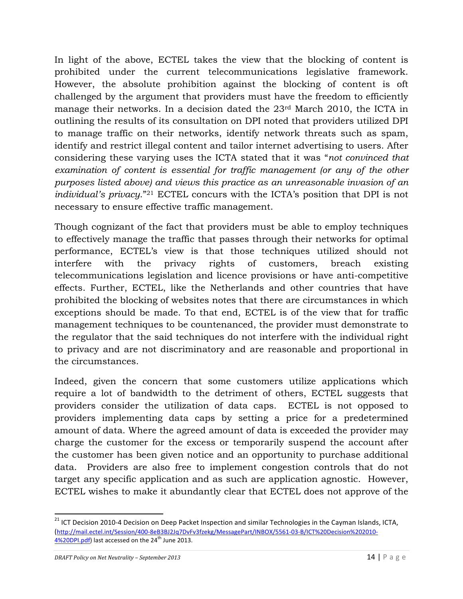In light of the above, ECTEL takes the view that the blocking of content is prohibited under the current telecommunications legislative framework. However, the absolute prohibition against the blocking of content is oft challenged by the argument that providers must have the freedom to efficiently manage their networks. In a decision dated the 23rd March 2010, the ICTA in outlining the results of its consultation on DPI noted that providers utilized DPI to manage traffic on their networks, identify network threats such as spam, identify and restrict illegal content and tailor internet advertising to users. After considering these varying uses the ICTA stated that it was "*not convinced that examination of content is essential for traffic management (or any of the other purposes listed above) and views this practice as an unreasonable invasion of an individual's privacy*."21 ECTEL concurs with the ICTA's position that DPI is not necessary to ensure effective traffic management.

Though cognizant of the fact that providers must be able to employ techniques to effectively manage the traffic that passes through their networks for optimal performance, ECTEL's view is that those techniques utilized should not interfere with the privacy rights of customers, breach existing telecommunications legislation and licence provisions or have anti-competitive effects. Further, ECTEL, like the Netherlands and other countries that have prohibited the blocking of websites notes that there are circumstances in which exceptions should be made. To that end, ECTEL is of the view that for traffic management techniques to be countenanced, the provider must demonstrate to the regulator that the said techniques do not interfere with the individual right to privacy and are not discriminatory and are reasonable and proportional in the circumstances.

Indeed, given the concern that some customers utilize applications which require a lot of bandwidth to the detriment of others, ECTEL suggests that providers consider the utilization of data caps. ECTEL is not opposed to providers implementing data caps by setting a price for a predetermined amount of data. Where the agreed amount of data is exceeded the provider may charge the customer for the excess or temporarily suspend the account after the customer has been given notice and an opportunity to purchase additional data. Providers are also free to implement congestion controls that do not target any specific application and as such are application agnostic. However, ECTEL wishes to make it abundantly clear that ECTEL does not approve of the

<sup>&</sup>lt;sup>21</sup> ICT Decision 2010-4 Decision on Deep Packet Inspection and similar Technologies in the Cayman Islands, ICTA, (http://mail.ectel.int/Session/400-8eB3BJ2Jq7DvFv3fzekg/MessagePart/INBOX/5561-03-B/ICT%20Decision%202010- 4%20DPI.pdf) last accessed on the 24<sup>th</sup> June 2013.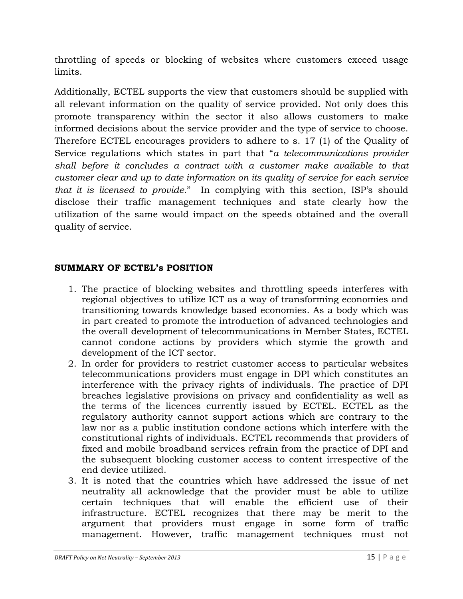throttling of speeds or blocking of websites where customers exceed usage limits.

Additionally, ECTEL supports the view that customers should be supplied with all relevant information on the quality of service provided. Not only does this promote transparency within the sector it also allows customers to make informed decisions about the service provider and the type of service to choose. Therefore ECTEL encourages providers to adhere to s. 17 (1) of the Quality of Service regulations which states in part that "*a telecommunications provider shall before it concludes a contract with a customer make available to that customer clear and up to date information on its quality of service for each service that it is licensed to provide*." In complying with this section, ISP's should disclose their traffic management techniques and state clearly how the utilization of the same would impact on the speeds obtained and the overall quality of service.

### **SUMMARY OF ECTEL's POSITION**

- 1. The practice of blocking websites and throttling speeds interferes with regional objectives to utilize ICT as a way of transforming economies and transitioning towards knowledge based economies. As a body which was in part created to promote the introduction of advanced technologies and the overall development of telecommunications in Member States, ECTEL cannot condone actions by providers which stymie the growth and development of the ICT sector.
- 2. In order for providers to restrict customer access to particular websites telecommunications providers must engage in DPI which constitutes an interference with the privacy rights of individuals. The practice of DPI breaches legislative provisions on privacy and confidentiality as well as the terms of the licences currently issued by ECTEL. ECTEL as the regulatory authority cannot support actions which are contrary to the law nor as a public institution condone actions which interfere with the constitutional rights of individuals. ECTEL recommends that providers of fixed and mobile broadband services refrain from the practice of DPI and the subsequent blocking customer access to content irrespective of the end device utilized.
- 3. It is noted that the countries which have addressed the issue of net neutrality all acknowledge that the provider must be able to utilize certain techniques that will enable the efficient use of their infrastructure. ECTEL recognizes that there may be merit to the argument that providers must engage in some form of traffic management. However, traffic management techniques must not